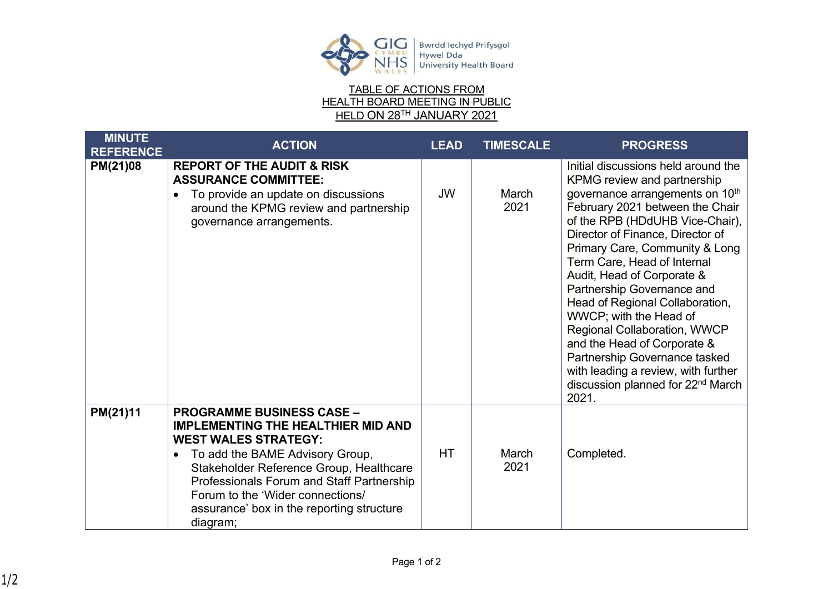



| <b>MINUTE</b>    | <b>ACTION</b>                                                                                                                                                                                                                                                                                                                                     | <b>LEAD</b> | <b>TIMESCALE</b> | <b>PROGRESS</b>                                                                                                                                                                                                                                                                                                                                                                                                                                                                                                                                                                                                        |
|------------------|---------------------------------------------------------------------------------------------------------------------------------------------------------------------------------------------------------------------------------------------------------------------------------------------------------------------------------------------------|-------------|------------------|------------------------------------------------------------------------------------------------------------------------------------------------------------------------------------------------------------------------------------------------------------------------------------------------------------------------------------------------------------------------------------------------------------------------------------------------------------------------------------------------------------------------------------------------------------------------------------------------------------------------|
| <b>REFERENCE</b> |                                                                                                                                                                                                                                                                                                                                                   |             |                  |                                                                                                                                                                                                                                                                                                                                                                                                                                                                                                                                                                                                                        |
| PM(21)08         | <b>REPORT OF THE AUDIT &amp; RISK</b><br><b>ASSURANCE COMMITTEE:</b><br>To provide an update on discussions<br>around the KPMG review and partnership<br>governance arrangements.                                                                                                                                                                 | <b>JW</b>   | March<br>2021    | Initial discussions held around the<br>KPMG review and partnership<br>governance arrangements on 10 <sup>th</sup><br>February 2021 between the Chair<br>of the RPB (HDdUHB Vice-Chair),<br>Director of Finance, Director of<br>Primary Care, Community & Long<br>Term Care, Head of Internal<br>Audit, Head of Corporate &<br>Partnership Governance and<br>Head of Regional Collaboration,<br>WWCP; with the Head of<br>Regional Collaboration, WWCP<br>and the Head of Corporate &<br>Partnership Governance tasked<br>with leading a review, with further<br>discussion planned for 22 <sup>nd</sup> March<br>2021. |
| PM(21)11         | <b>PROGRAMME BUSINESS CASE -</b><br><b>IMPLEMENTING THE HEALTHIER MID AND</b><br><b>WEST WALES STRATEGY:</b><br>To add the BAME Advisory Group,<br>$\bullet$<br>Stakeholder Reference Group, Healthcare<br>Professionals Forum and Staff Partnership<br>Forum to the 'Wider connections/<br>assurance' box in the reporting structure<br>diagram; | HT          | March<br>2021    | Completed.                                                                                                                                                                                                                                                                                                                                                                                                                                                                                                                                                                                                             |